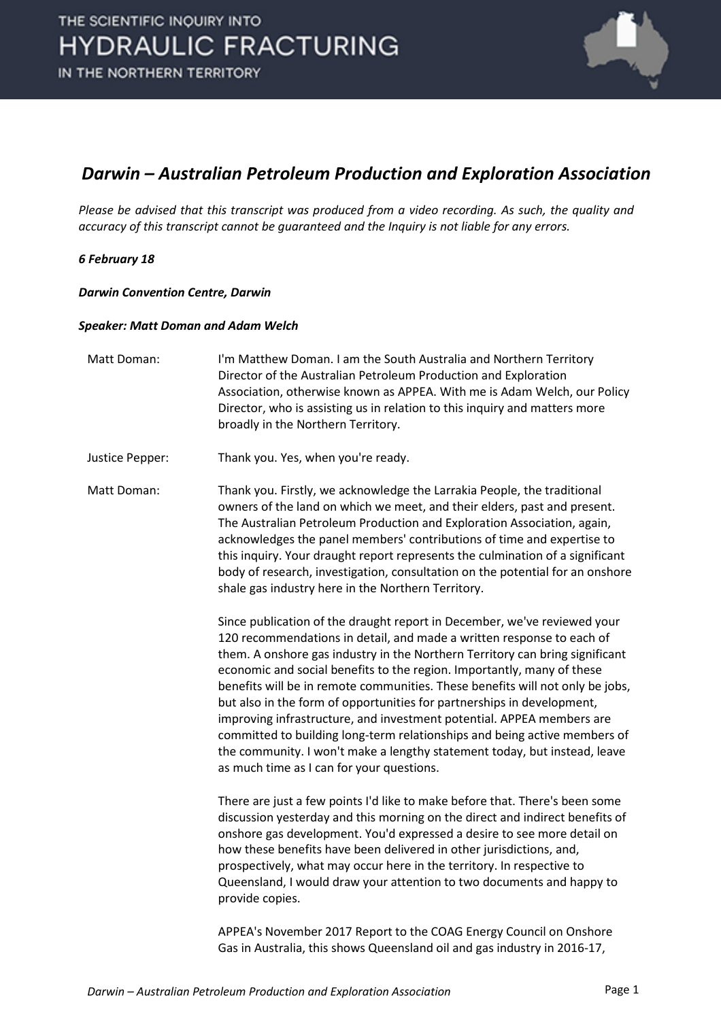

#### *Darwin – Australian Petroleum Production and Exploration Association*

*Please be advised that this transcript was produced from a video recording. As such, the quality and accuracy of this transcript cannot be guaranteed and the Inquiry is not liable for any errors.*

#### *6 February 18*

*Darwin Convention Centre, Darwin* 

#### *Speaker: Matt Doman and Adam Welch*

| Matt Doman:     | I'm Matthew Doman. I am the South Australia and Northern Territory<br>Director of the Australian Petroleum Production and Exploration<br>Association, otherwise known as APPEA. With me is Adam Welch, our Policy<br>Director, who is assisting us in relation to this inquiry and matters more<br>broadly in the Northern Territory.                                                                                                                                                                                                                                                                                                                                                                                                                  |
|-----------------|--------------------------------------------------------------------------------------------------------------------------------------------------------------------------------------------------------------------------------------------------------------------------------------------------------------------------------------------------------------------------------------------------------------------------------------------------------------------------------------------------------------------------------------------------------------------------------------------------------------------------------------------------------------------------------------------------------------------------------------------------------|
| Justice Pepper: | Thank you. Yes, when you're ready.                                                                                                                                                                                                                                                                                                                                                                                                                                                                                                                                                                                                                                                                                                                     |
| Matt Doman:     | Thank you. Firstly, we acknowledge the Larrakia People, the traditional<br>owners of the land on which we meet, and their elders, past and present.<br>The Australian Petroleum Production and Exploration Association, again,<br>acknowledges the panel members' contributions of time and expertise to<br>this inquiry. Your draught report represents the culmination of a significant<br>body of research, investigation, consultation on the potential for an onshore<br>shale gas industry here in the Northern Territory.                                                                                                                                                                                                                       |
|                 | Since publication of the draught report in December, we've reviewed your<br>120 recommendations in detail, and made a written response to each of<br>them. A onshore gas industry in the Northern Territory can bring significant<br>economic and social benefits to the region. Importantly, many of these<br>benefits will be in remote communities. These benefits will not only be jobs,<br>but also in the form of opportunities for partnerships in development,<br>improving infrastructure, and investment potential. APPEA members are<br>committed to building long-term relationships and being active members of<br>the community. I won't make a lengthy statement today, but instead, leave<br>as much time as I can for your questions. |
|                 | There are just a few points I'd like to make before that. There's been some<br>discussion yesterday and this morning on the direct and indirect benefits of<br>onshore gas development. You'd expressed a desire to see more detail on<br>how these benefits have been delivered in other jurisdictions, and,<br>prospectively, what may occur here in the territory. In respective to<br>Queensland, I would draw your attention to two documents and happy to<br>provide copies.                                                                                                                                                                                                                                                                     |
|                 | APPEA's November 2017 Report to the COAG Energy Council on Onshore<br>Gas in Australia, this shows Queensland oil and gas industry in 2016-17,                                                                                                                                                                                                                                                                                                                                                                                                                                                                                                                                                                                                         |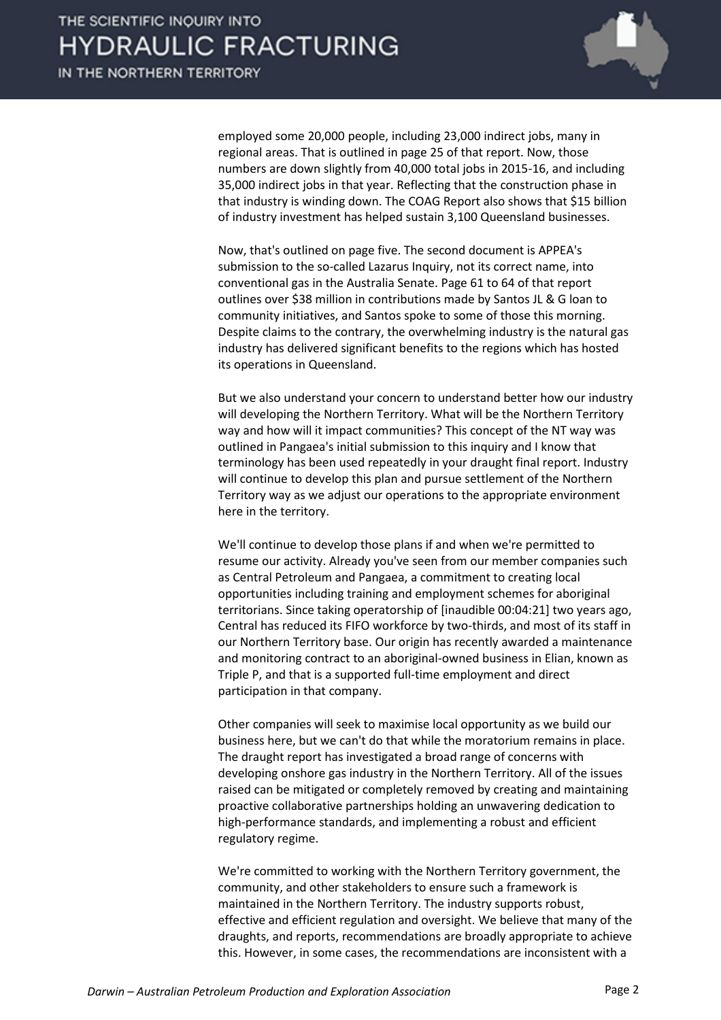

employed some 20,000 people, including 23,000 indirect jobs, many in regional areas. That is outlined in page 25 of that report. Now, those numbers are down slightly from 40,000 total jobs in 2015-16, and including 35,000 indirect jobs in that year. Reflecting that the construction phase in that industry is winding down. The COAG Report also shows that \$15 billion of industry investment has helped sustain 3,100 Queensland businesses.

Now, that's outlined on page five. The second document is APPEA's submission to the so-called Lazarus Inquiry, not its correct name, into conventional gas in the Australia Senate. Page 61 to 64 of that report outlines over \$38 million in contributions made by Santos JL & G loan to community initiatives, and Santos spoke to some of those this morning. Despite claims to the contrary, the overwhelming industry is the natural gas industry has delivered significant benefits to the regions which has hosted its operations in Queensland.

But we also understand your concern to understand better how our industry will developing the Northern Territory. What will be the Northern Territory way and how will it impact communities? This concept of the NT way was outlined in Pangaea's initial submission to this inquiry and I know that terminology has been used repeatedly in your draught final report. Industry will continue to develop this plan and pursue settlement of the Northern Territory way as we adjust our operations to the appropriate environment here in the territory.

We'll continue to develop those plans if and when we're permitted to resume our activity. Already you've seen from our member companies such as Central Petroleum and Pangaea, a commitment to creating local opportunities including training and employment schemes for aboriginal territorians. Since taking operatorship of [inaudible 00:04:21] two years ago, Central has reduced its FIFO workforce by two-thirds, and most of its staff in our Northern Territory base. Our origin has recently awarded a maintenance and monitoring contract to an aboriginal-owned business in Elian, known as Triple P, and that is a supported full-time employment and direct participation in that company.

Other companies will seek to maximise local opportunity as we build our business here, but we can't do that while the moratorium remains in place. The draught report has investigated a broad range of concerns with developing onshore gas industry in the Northern Territory. All of the issues raised can be mitigated or completely removed by creating and maintaining proactive collaborative partnerships holding an unwavering dedication to high-performance standards, and implementing a robust and efficient regulatory regime.

We're committed to working with the Northern Territory government, the community, and other stakeholders to ensure such a framework is maintained in the Northern Territory. The industry supports robust, effective and efficient regulation and oversight. We believe that many of the draughts, and reports, recommendations are broadly appropriate to achieve this. However, in some cases, the recommendations are inconsistent with a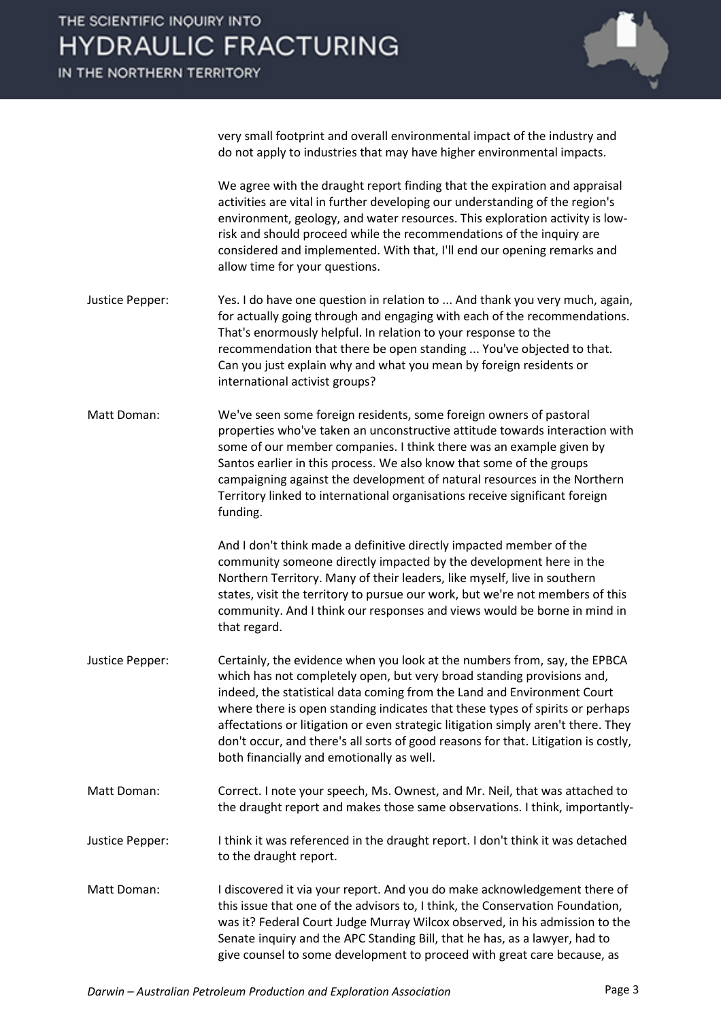

very small footprint and overall environmental impact of the industry and do not apply to industries that may have higher environmental impacts.

We agree with the draught report finding that the expiration and appraisal activities are vital in further developing our understanding of the region's environment, geology, and water resources. This exploration activity is lowrisk and should proceed while the recommendations of the inquiry are considered and implemented. With that, I'll end our opening remarks and allow time for your questions.

- Justice Pepper: Yes. I do have one question in relation to ... And thank you very much, again, for actually going through and engaging with each of the recommendations. That's enormously helpful. In relation to your response to the recommendation that there be open standing ... You've objected to that. Can you just explain why and what you mean by foreign residents or international activist groups?
- Matt Doman: We've seen some foreign residents, some foreign owners of pastoral properties who've taken an unconstructive attitude towards interaction with some of our member companies. I think there was an example given by Santos earlier in this process. We also know that some of the groups campaigning against the development of natural resources in the Northern Territory linked to international organisations receive significant foreign funding.

And I don't think made a definitive directly impacted member of the community someone directly impacted by the development here in the Northern Territory. Many of their leaders, like myself, live in southern states, visit the territory to pursue our work, but we're not members of this community. And I think our responses and views would be borne in mind in that regard.

- Justice Pepper: Certainly, the evidence when you look at the numbers from, say, the EPBCA which has not completely open, but very broad standing provisions and, indeed, the statistical data coming from the Land and Environment Court where there is open standing indicates that these types of spirits or perhaps affectations or litigation or even strategic litigation simply aren't there. They don't occur, and there's all sorts of good reasons for that. Litigation is costly, both financially and emotionally as well.
- Matt Doman: Correct. I note your speech, Ms. Ownest, and Mr. Neil, that was attached to the draught report and makes those same observations. I think, importantly-
- Justice Pepper: I think it was referenced in the draught report. I don't think it was detached to the draught report.
- Matt Doman: I discovered it via your report. And you do make acknowledgement there of this issue that one of the advisors to, I think, the Conservation Foundation, was it? Federal Court Judge Murray Wilcox observed, in his admission to the Senate inquiry and the APC Standing Bill, that he has, as a lawyer, had to give counsel to some development to proceed with great care because, as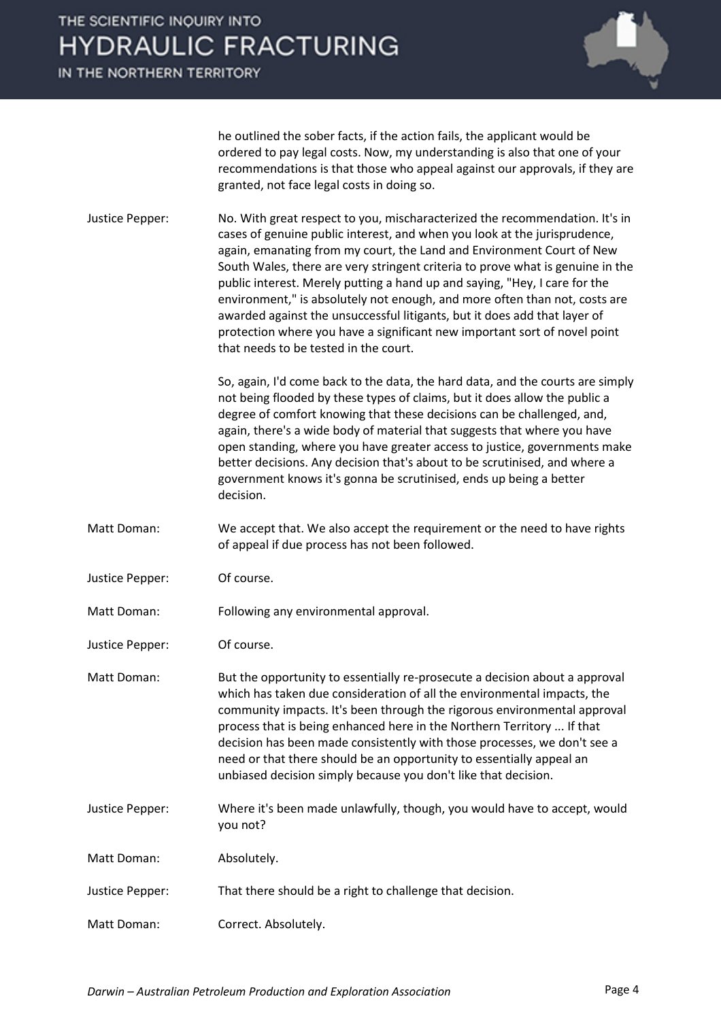IN THE NORTHERN TERRITORY



he outlined the sober facts, if the action fails, the applicant would be ordered to pay legal costs. Now, my understanding is also that one of your recommendations is that those who appeal against our approvals, if they are granted, not face legal costs in doing so.

Justice Pepper: No. With great respect to you, mischaracterized the recommendation. It's in cases of genuine public interest, and when you look at the jurisprudence, again, emanating from my court, the Land and Environment Court of New South Wales, there are very stringent criteria to prove what is genuine in the public interest. Merely putting a hand up and saying, "Hey, I care for the environment," is absolutely not enough, and more often than not, costs are awarded against the unsuccessful litigants, but it does add that layer of protection where you have a significant new important sort of novel point that needs to be tested in the court.

> So, again, I'd come back to the data, the hard data, and the courts are simply not being flooded by these types of claims, but it does allow the public a degree of comfort knowing that these decisions can be challenged, and, again, there's a wide body of material that suggests that where you have open standing, where you have greater access to justice, governments make better decisions. Any decision that's about to be scrutinised, and where a government knows it's gonna be scrutinised, ends up being a better decision.

- Matt Doman: We accept that. We also accept the requirement or the need to have rights of appeal if due process has not been followed.
- Justice Pepper: Of course.
- Matt Doman: Following any environmental approval.
- Justice Pepper: Of course.

Matt Doman: But the opportunity to essentially re-prosecute a decision about a approval which has taken due consideration of all the environmental impacts, the community impacts. It's been through the rigorous environmental approval process that is being enhanced here in the Northern Territory ... If that decision has been made consistently with those processes, we don't see a need or that there should be an opportunity to essentially appeal an unbiased decision simply because you don't like that decision.

- Justice Pepper: Where it's been made unlawfully, though, you would have to accept, would you not?
- Matt Doman: Absolutely.

Justice Pepper: That there should be a right to challenge that decision.

Matt Doman: Correct. Absolutely.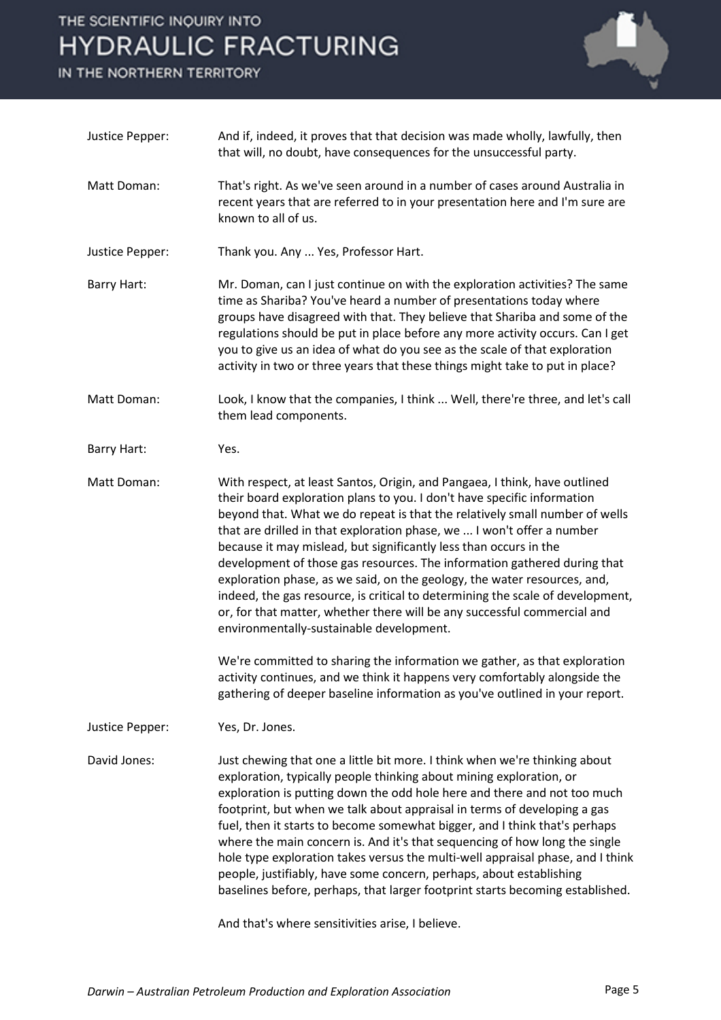IN THE NORTHERN TERRITORY



| Justice Pepper:    | And if, indeed, it proves that that decision was made wholly, lawfully, then<br>that will, no doubt, have consequences for the unsuccessful party.                                                                                                                                                                                                                                                                                                                                                                                                                                                                                                                                                                                                    |
|--------------------|-------------------------------------------------------------------------------------------------------------------------------------------------------------------------------------------------------------------------------------------------------------------------------------------------------------------------------------------------------------------------------------------------------------------------------------------------------------------------------------------------------------------------------------------------------------------------------------------------------------------------------------------------------------------------------------------------------------------------------------------------------|
| Matt Doman:        | That's right. As we've seen around in a number of cases around Australia in<br>recent years that are referred to in your presentation here and I'm sure are<br>known to all of us.                                                                                                                                                                                                                                                                                                                                                                                                                                                                                                                                                                    |
| Justice Pepper:    | Thank you. Any  Yes, Professor Hart.                                                                                                                                                                                                                                                                                                                                                                                                                                                                                                                                                                                                                                                                                                                  |
| <b>Barry Hart:</b> | Mr. Doman, can I just continue on with the exploration activities? The same<br>time as Shariba? You've heard a number of presentations today where<br>groups have disagreed with that. They believe that Shariba and some of the<br>regulations should be put in place before any more activity occurs. Can I get<br>you to give us an idea of what do you see as the scale of that exploration<br>activity in two or three years that these things might take to put in place?                                                                                                                                                                                                                                                                       |
| Matt Doman:        | Look, I know that the companies, I think  Well, there're three, and let's call<br>them lead components.                                                                                                                                                                                                                                                                                                                                                                                                                                                                                                                                                                                                                                               |
| <b>Barry Hart:</b> | Yes.                                                                                                                                                                                                                                                                                                                                                                                                                                                                                                                                                                                                                                                                                                                                                  |
| Matt Doman:        | With respect, at least Santos, Origin, and Pangaea, I think, have outlined<br>their board exploration plans to you. I don't have specific information<br>beyond that. What we do repeat is that the relatively small number of wells<br>that are drilled in that exploration phase, we  I won't offer a number<br>because it may mislead, but significantly less than occurs in the<br>development of those gas resources. The information gathered during that<br>exploration phase, as we said, on the geology, the water resources, and,<br>indeed, the gas resource, is critical to determining the scale of development,<br>or, for that matter, whether there will be any successful commercial and<br>environmentally-sustainable development. |
|                    | We're committed to sharing the information we gather, as that exploration<br>activity continues, and we think it happens very comfortably alongside the<br>gathering of deeper baseline information as you've outlined in your report.                                                                                                                                                                                                                                                                                                                                                                                                                                                                                                                |
| Justice Pepper:    | Yes, Dr. Jones.                                                                                                                                                                                                                                                                                                                                                                                                                                                                                                                                                                                                                                                                                                                                       |
| David Jones:       | Just chewing that one a little bit more. I think when we're thinking about<br>exploration, typically people thinking about mining exploration, or<br>exploration is putting down the odd hole here and there and not too much<br>footprint, but when we talk about appraisal in terms of developing a gas<br>fuel, then it starts to become somewhat bigger, and I think that's perhaps<br>where the main concern is. And it's that sequencing of how long the single<br>hole type exploration takes versus the multi-well appraisal phase, and I think<br>people, justifiably, have some concern, perhaps, about establishing<br>baselines before, perhaps, that larger footprint starts becoming established.                                       |
|                    | And that's where sensitivities arise, I believe.                                                                                                                                                                                                                                                                                                                                                                                                                                                                                                                                                                                                                                                                                                      |

*Darwin – Australian Petroleum Production and Exploration Association* Page 5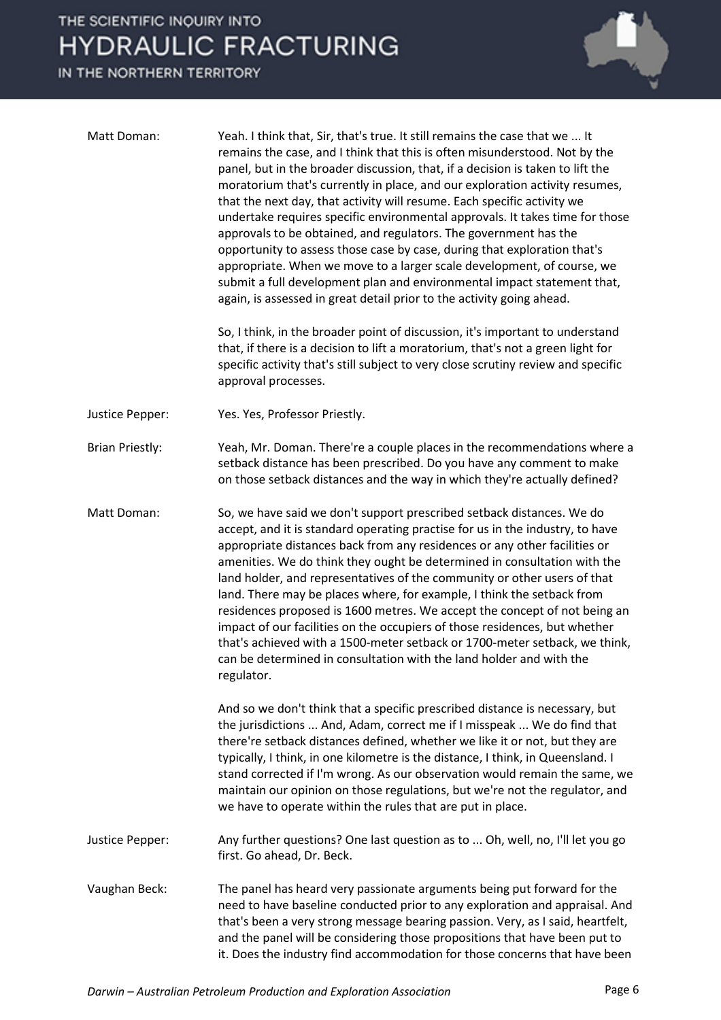IN THE NORTHERN TERRITORY



that's been a very strong message bearing passion. Very, as I said, heartfelt, and the panel will be considering those propositions that have been put to it. Does the industry find accommodation for those concerns that have been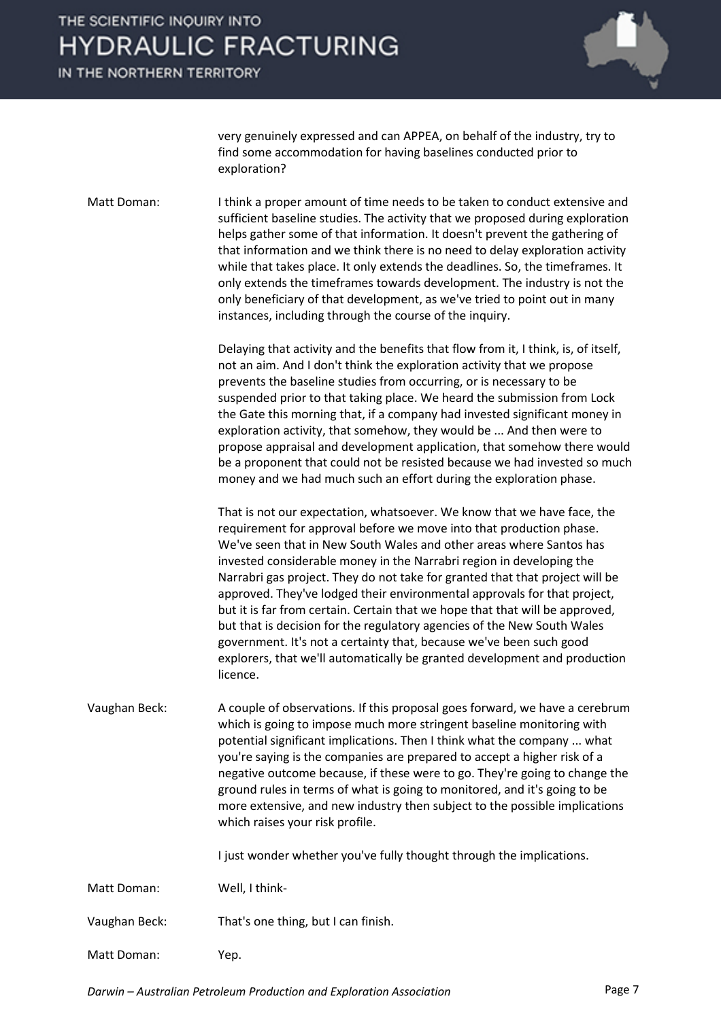IN THE NORTHERN TERRITORY



very genuinely expressed and can APPEA, on behalf of the industry, try to find some accommodation for having baselines conducted prior to exploration?

Matt Doman: I think a proper amount of time needs to be taken to conduct extensive and sufficient baseline studies. The activity that we proposed during exploration helps gather some of that information. It doesn't prevent the gathering of that information and we think there is no need to delay exploration activity while that takes place. It only extends the deadlines. So, the timeframes. It only extends the timeframes towards development. The industry is not the only beneficiary of that development, as we've tried to point out in many instances, including through the course of the inquiry.

> Delaying that activity and the benefits that flow from it, I think, is, of itself, not an aim. And I don't think the exploration activity that we propose prevents the baseline studies from occurring, or is necessary to be suspended prior to that taking place. We heard the submission from Lock the Gate this morning that, if a company had invested significant money in exploration activity, that somehow, they would be ... And then were to propose appraisal and development application, that somehow there would be a proponent that could not be resisted because we had invested so much money and we had much such an effort during the exploration phase.

That is not our expectation, whatsoever. We know that we have face, the requirement for approval before we move into that production phase. We've seen that in New South Wales and other areas where Santos has invested considerable money in the Narrabri region in developing the Narrabri gas project. They do not take for granted that that project will be approved. They've lodged their environmental approvals for that project, but it is far from certain. Certain that we hope that that will be approved, but that is decision for the regulatory agencies of the New South Wales government. It's not a certainty that, because we've been such good explorers, that we'll automatically be granted development and production licence.

Vaughan Beck: A couple of observations. If this proposal goes forward, we have a cerebrum which is going to impose much more stringent baseline monitoring with potential significant implications. Then I think what the company ... what you're saying is the companies are prepared to accept a higher risk of a negative outcome because, if these were to go. They're going to change the ground rules in terms of what is going to monitored, and it's going to be more extensive, and new industry then subject to the possible implications which raises your risk profile.

I just wonder whether you've fully thought through the implications.

- Matt Doman: Well, I think-
- Vaughan Beck: That's one thing, but I can finish.
- Matt Doman: Yep.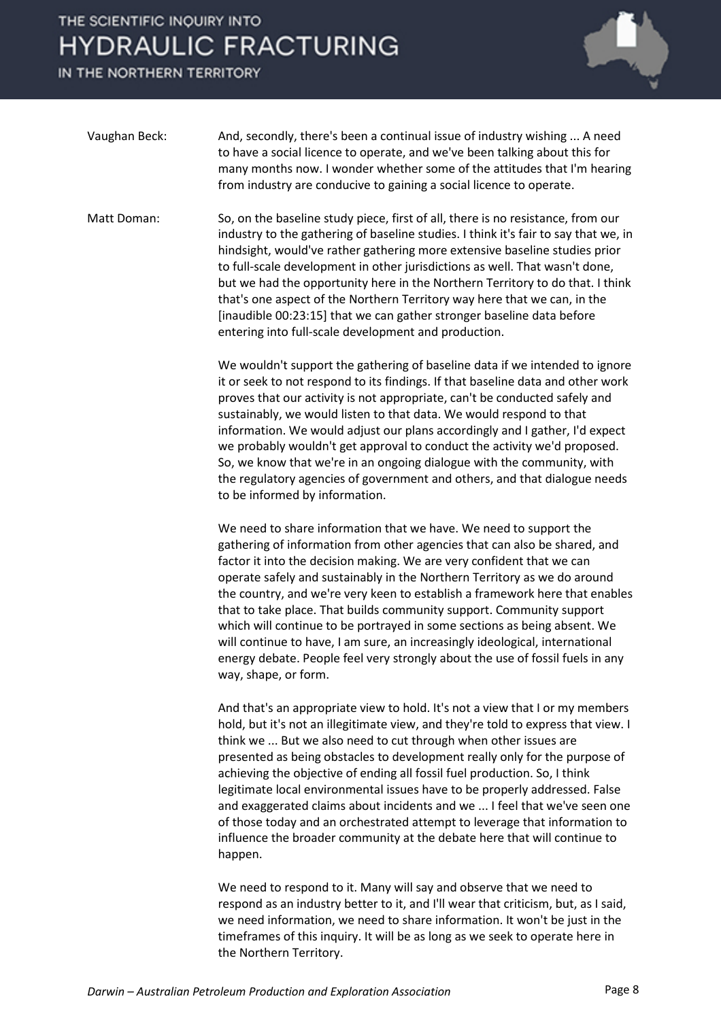IN THE NORTHERN TERRITORY



| Vaughan Beck: | And, secondly, there's been a continual issue of industry wishing  A need<br>to have a social licence to operate, and we've been talking about this for<br>many months now. I wonder whether some of the attitudes that I'm hearing<br>from industry are conducive to gaining a social licence to operate.                                                                                                                                                                                                                                                                                                                                                                                                                      |
|---------------|---------------------------------------------------------------------------------------------------------------------------------------------------------------------------------------------------------------------------------------------------------------------------------------------------------------------------------------------------------------------------------------------------------------------------------------------------------------------------------------------------------------------------------------------------------------------------------------------------------------------------------------------------------------------------------------------------------------------------------|
| Matt Doman:   | So, on the baseline study piece, first of all, there is no resistance, from our<br>industry to the gathering of baseline studies. I think it's fair to say that we, in<br>hindsight, would've rather gathering more extensive baseline studies prior<br>to full-scale development in other jurisdictions as well. That wasn't done,<br>but we had the opportunity here in the Northern Territory to do that. I think<br>that's one aspect of the Northern Territory way here that we can, in the<br>[inaudible 00:23:15] that we can gather stronger baseline data before<br>entering into full-scale development and production.                                                                                               |
|               | We wouldn't support the gathering of baseline data if we intended to ignore<br>it or seek to not respond to its findings. If that baseline data and other work<br>proves that our activity is not appropriate, can't be conducted safely and<br>sustainably, we would listen to that data. We would respond to that<br>information. We would adjust our plans accordingly and I gather, I'd expect<br>we probably wouldn't get approval to conduct the activity we'd proposed.<br>So, we know that we're in an ongoing dialogue with the community, with<br>the regulatory agencies of government and others, and that dialogue needs<br>to be informed by information.                                                         |
|               | We need to share information that we have. We need to support the<br>gathering of information from other agencies that can also be shared, and<br>factor it into the decision making. We are very confident that we can<br>operate safely and sustainably in the Northern Territory as we do around<br>the country, and we're very keen to establish a framework here that enables<br>that to take place. That builds community support. Community support<br>which will continue to be portrayed in some sections as being absent. We<br>will continue to have, I am sure, an increasingly ideological, international<br>energy debate. People feel very strongly about the use of fossil fuels in any<br>way, shape, or form. |

And that's an appropriate view to hold. It's not a view that I or my members hold, but it's not an illegitimate view, and they're told to express that view. I think we ... But we also need to cut through when other issues are presented as being obstacles to development really only for the purpose of achieving the objective of ending all fossil fuel production. So, I think legitimate local environmental issues have to be properly addressed. False and exaggerated claims about incidents and we ... I feel that we've seen one of those today and an orchestrated attempt to leverage that information to influence the broader community at the debate here that will continue to happen.

We need to respond to it. Many will say and observe that we need to respond as an industry better to it, and I'll wear that criticism, but, as I said, we need information, we need to share information. It won't be just in the timeframes of this inquiry. It will be as long as we seek to operate here in the Northern Territory.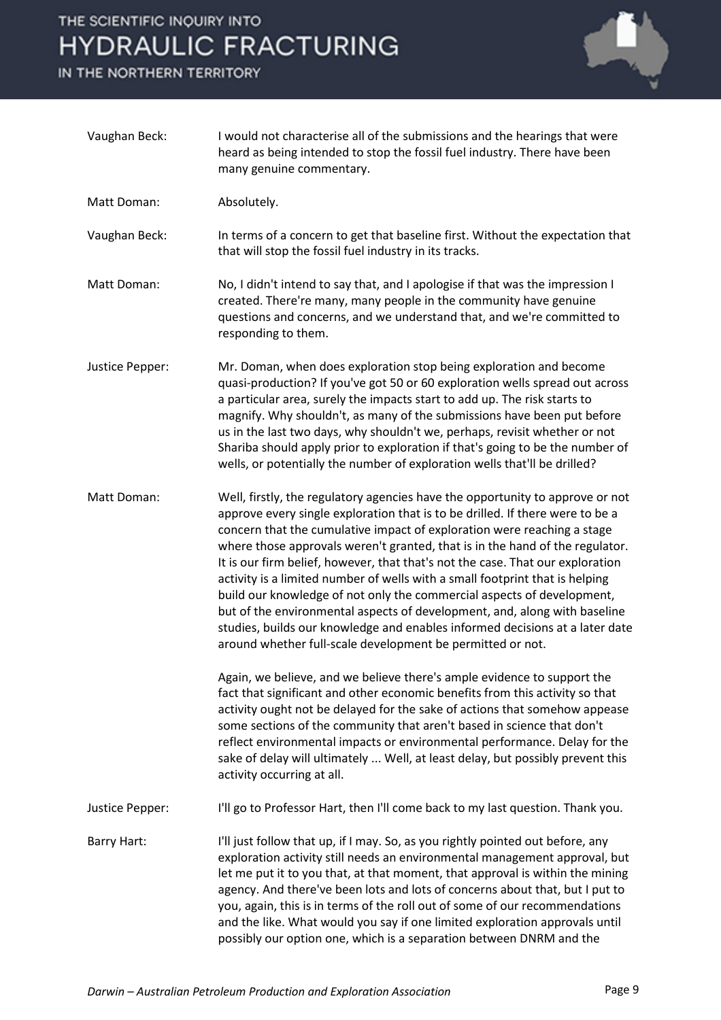IN THE NORTHERN TERRITORY



| Vaughan Beck:      | I would not characterise all of the submissions and the hearings that were<br>heard as being intended to stop the fossil fuel industry. There have been<br>many genuine commentary.                                                                                                                                                                                                                                                                                                                                                                                                                                                                                                                                                                                                              |
|--------------------|--------------------------------------------------------------------------------------------------------------------------------------------------------------------------------------------------------------------------------------------------------------------------------------------------------------------------------------------------------------------------------------------------------------------------------------------------------------------------------------------------------------------------------------------------------------------------------------------------------------------------------------------------------------------------------------------------------------------------------------------------------------------------------------------------|
| <b>Matt Doman:</b> | Absolutely.                                                                                                                                                                                                                                                                                                                                                                                                                                                                                                                                                                                                                                                                                                                                                                                      |
| Vaughan Beck:      | In terms of a concern to get that baseline first. Without the expectation that<br>that will stop the fossil fuel industry in its tracks.                                                                                                                                                                                                                                                                                                                                                                                                                                                                                                                                                                                                                                                         |
| Matt Doman:        | No, I didn't intend to say that, and I apologise if that was the impression I<br>created. There're many, many people in the community have genuine<br>questions and concerns, and we understand that, and we're committed to<br>responding to them.                                                                                                                                                                                                                                                                                                                                                                                                                                                                                                                                              |
| Justice Pepper:    | Mr. Doman, when does exploration stop being exploration and become<br>quasi-production? If you've got 50 or 60 exploration wells spread out across<br>a particular area, surely the impacts start to add up. The risk starts to<br>magnify. Why shouldn't, as many of the submissions have been put before<br>us in the last two days, why shouldn't we, perhaps, revisit whether or not<br>Shariba should apply prior to exploration if that's going to be the number of<br>wells, or potentially the number of exploration wells that'll be drilled?                                                                                                                                                                                                                                           |
| Matt Doman:        | Well, firstly, the regulatory agencies have the opportunity to approve or not<br>approve every single exploration that is to be drilled. If there were to be a<br>concern that the cumulative impact of exploration were reaching a stage<br>where those approvals weren't granted, that is in the hand of the regulator.<br>It is our firm belief, however, that that's not the case. That our exploration<br>activity is a limited number of wells with a small footprint that is helping<br>build our knowledge of not only the commercial aspects of development,<br>but of the environmental aspects of development, and, along with baseline<br>studies, builds our knowledge and enables informed decisions at a later date<br>around whether full-scale development be permitted or not. |
|                    | Again, we believe, and we believe there's ample evidence to support the<br>fact that significant and other economic benefits from this activity so that<br>activity ought not be delayed for the sake of actions that somehow appease<br>some sections of the community that aren't based in science that don't<br>reflect environmental impacts or environmental performance. Delay for the<br>sake of delay will ultimately  Well, at least delay, but possibly prevent this<br>activity occurring at all.                                                                                                                                                                                                                                                                                     |
| Justice Pepper:    | I'll go to Professor Hart, then I'll come back to my last question. Thank you.                                                                                                                                                                                                                                                                                                                                                                                                                                                                                                                                                                                                                                                                                                                   |
| Barry Hart:        | I'll just follow that up, if I may. So, as you rightly pointed out before, any<br>exploration activity still needs an environmental management approval, but<br>let me put it to you that, at that moment, that approval is within the mining<br>agency. And there've been lots and lots of concerns about that, but I put to<br>you, again, this is in terms of the roll out of some of our recommendations<br>and the like. What would you say if one limited exploration approvals until<br>possibly our option one, which is a separation between DNRM and the                                                                                                                                                                                                                               |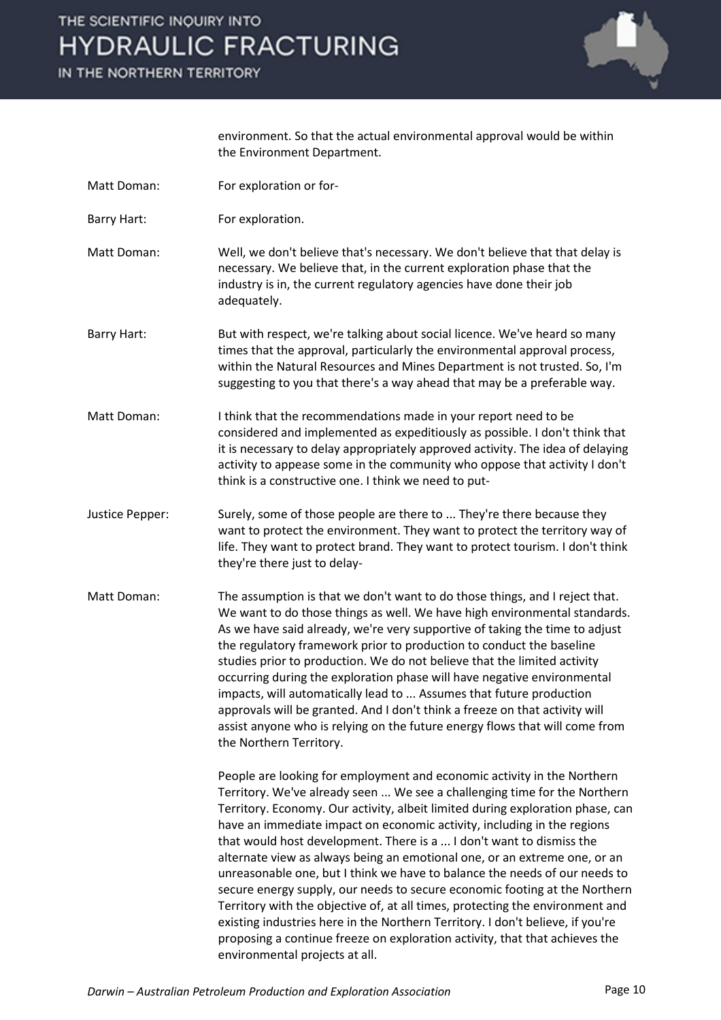IN THE NORTHERN TERRITORY



environment. So that the actual environmental approval would be within the Environment Department.

- Matt Doman: For exploration or for-
- Barry Hart: For exploration.

Matt Doman: Well, we don't believe that's necessary. We don't believe that that delay is necessary. We believe that, in the current exploration phase that the industry is in, the current regulatory agencies have done their job adequately.

- Barry Hart: But with respect, we're talking about social licence. We've heard so many times that the approval, particularly the environmental approval process, within the Natural Resources and Mines Department is not trusted. So, I'm suggesting to you that there's a way ahead that may be a preferable way.
- Matt Doman: I think that the recommendations made in your report need to be considered and implemented as expeditiously as possible. I don't think that it is necessary to delay appropriately approved activity. The idea of delaying activity to appease some in the community who oppose that activity I don't think is a constructive one. I think we need to put-
- Justice Pepper: Surely, some of those people are there to ... They're there because they want to protect the environment. They want to protect the territory way of life. They want to protect brand. They want to protect tourism. I don't think they're there just to delay-
- Matt Doman: The assumption is that we don't want to do those things, and I reject that. We want to do those things as well. We have high environmental standards. As we have said already, we're very supportive of taking the time to adjust the regulatory framework prior to production to conduct the baseline studies prior to production. We do not believe that the limited activity occurring during the exploration phase will have negative environmental impacts, will automatically lead to ... Assumes that future production approvals will be granted. And I don't think a freeze on that activity will assist anyone who is relying on the future energy flows that will come from the Northern Territory.

People are looking for employment and economic activity in the Northern Territory. We've already seen ... We see a challenging time for the Northern Territory. Economy. Our activity, albeit limited during exploration phase, can have an immediate impact on economic activity, including in the regions that would host development. There is a ... I don't want to dismiss the alternate view as always being an emotional one, or an extreme one, or an unreasonable one, but I think we have to balance the needs of our needs to secure energy supply, our needs to secure economic footing at the Northern Territory with the objective of, at all times, protecting the environment and existing industries here in the Northern Territory. I don't believe, if you're proposing a continue freeze on exploration activity, that that achieves the environmental projects at all.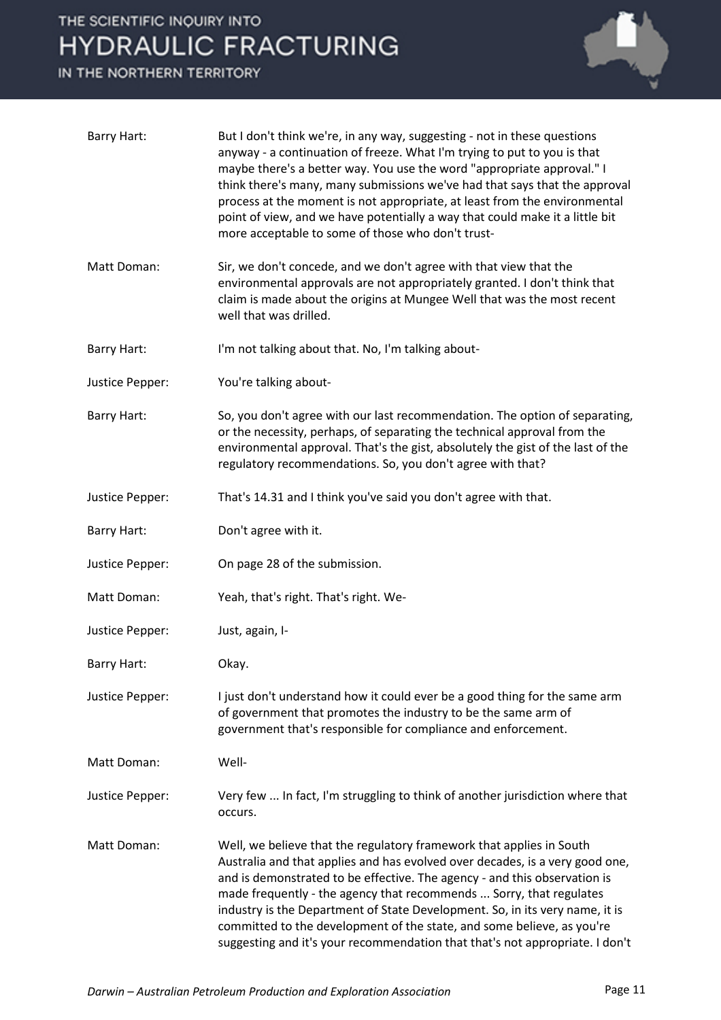IN THE NORTHERN TERRITORY



| <b>Barry Hart:</b> | But I don't think we're, in any way, suggesting - not in these questions<br>anyway - a continuation of freeze. What I'm trying to put to you is that<br>maybe there's a better way. You use the word "appropriate approval." I<br>think there's many, many submissions we've had that says that the approval<br>process at the moment is not appropriate, at least from the environmental<br>point of view, and we have potentially a way that could make it a little bit<br>more acceptable to some of those who don't trust-                     |
|--------------------|----------------------------------------------------------------------------------------------------------------------------------------------------------------------------------------------------------------------------------------------------------------------------------------------------------------------------------------------------------------------------------------------------------------------------------------------------------------------------------------------------------------------------------------------------|
| Matt Doman:        | Sir, we don't concede, and we don't agree with that view that the<br>environmental approvals are not appropriately granted. I don't think that<br>claim is made about the origins at Mungee Well that was the most recent<br>well that was drilled.                                                                                                                                                                                                                                                                                                |
| Barry Hart:        | I'm not talking about that. No, I'm talking about-                                                                                                                                                                                                                                                                                                                                                                                                                                                                                                 |
| Justice Pepper:    | You're talking about-                                                                                                                                                                                                                                                                                                                                                                                                                                                                                                                              |
| Barry Hart:        | So, you don't agree with our last recommendation. The option of separating,<br>or the necessity, perhaps, of separating the technical approval from the<br>environmental approval. That's the gist, absolutely the gist of the last of the<br>regulatory recommendations. So, you don't agree with that?                                                                                                                                                                                                                                           |
| Justice Pepper:    | That's 14.31 and I think you've said you don't agree with that.                                                                                                                                                                                                                                                                                                                                                                                                                                                                                    |
| Barry Hart:        | Don't agree with it.                                                                                                                                                                                                                                                                                                                                                                                                                                                                                                                               |
| Justice Pepper:    | On page 28 of the submission.                                                                                                                                                                                                                                                                                                                                                                                                                                                                                                                      |
| Matt Doman:        | Yeah, that's right. That's right. We-                                                                                                                                                                                                                                                                                                                                                                                                                                                                                                              |
| Justice Pepper:    | Just, again, I-                                                                                                                                                                                                                                                                                                                                                                                                                                                                                                                                    |
| <b>Barry Hart:</b> | Okay.                                                                                                                                                                                                                                                                                                                                                                                                                                                                                                                                              |
| Justice Pepper:    | I just don't understand how it could ever be a good thing for the same arm<br>of government that promotes the industry to be the same arm of<br>government that's responsible for compliance and enforcement.                                                                                                                                                                                                                                                                                                                                      |
| Matt Doman:        | Well-                                                                                                                                                                                                                                                                                                                                                                                                                                                                                                                                              |
| Justice Pepper:    | Very few  In fact, I'm struggling to think of another jurisdiction where that<br>occurs.                                                                                                                                                                                                                                                                                                                                                                                                                                                           |
| Matt Doman:        | Well, we believe that the regulatory framework that applies in South<br>Australia and that applies and has evolved over decades, is a very good one,<br>and is demonstrated to be effective. The agency - and this observation is<br>made frequently - the agency that recommends  Sorry, that regulates<br>industry is the Department of State Development. So, in its very name, it is<br>committed to the development of the state, and some believe, as you're<br>suggesting and it's your recommendation that that's not appropriate. I don't |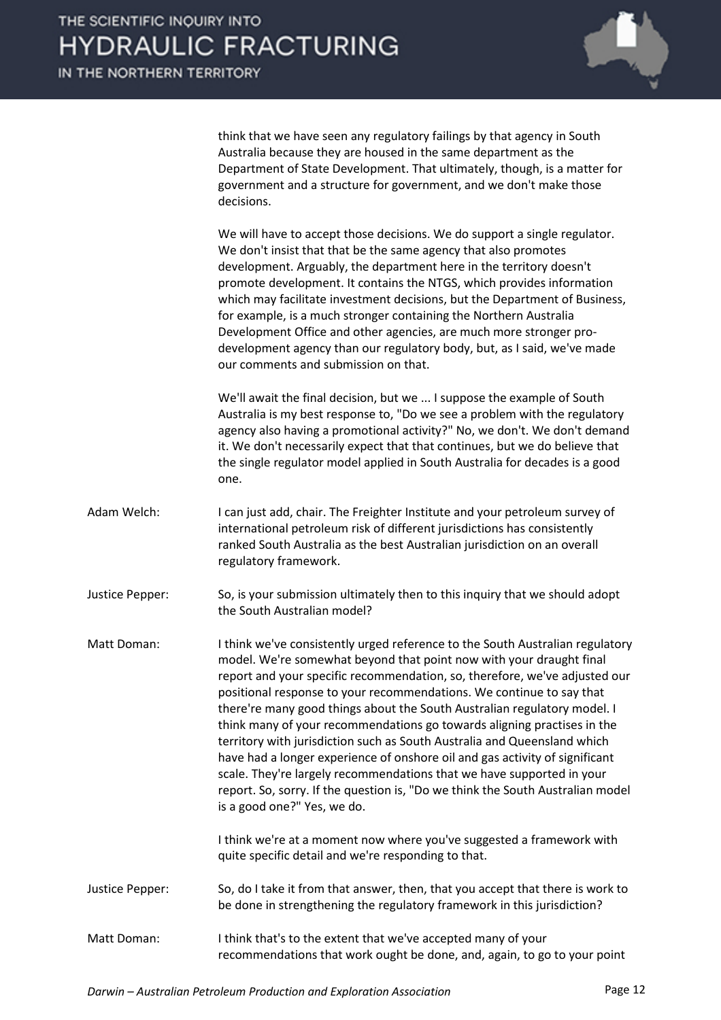IN THE NORTHERN TERRITORY



think that we have seen any regulatory failings by that agency in South Australia because they are housed in the same department as the Department of State Development. That ultimately, though, is a matter for government and a structure for government, and we don't make those decisions.

We will have to accept those decisions. We do support a single regulator. We don't insist that that be the same agency that also promotes development. Arguably, the department here in the territory doesn't promote development. It contains the NTGS, which provides information which may facilitate investment decisions, but the Department of Business, for example, is a much stronger containing the Northern Australia Development Office and other agencies, are much more stronger prodevelopment agency than our regulatory body, but, as I said, we've made our comments and submission on that.

We'll await the final decision, but we ... I suppose the example of South Australia is my best response to, "Do we see a problem with the regulatory agency also having a promotional activity?" No, we don't. We don't demand it. We don't necessarily expect that that continues, but we do believe that the single regulator model applied in South Australia for decades is a good one.

- Adam Welch: I can just add, chair. The Freighter Institute and your petroleum survey of international petroleum risk of different jurisdictions has consistently ranked South Australia as the best Australian jurisdiction on an overall regulatory framework.
- Justice Pepper: So, is your submission ultimately then to this inquiry that we should adopt the South Australian model?
- Matt Doman: I think we've consistently urged reference to the South Australian regulatory model. We're somewhat beyond that point now with your draught final report and your specific recommendation, so, therefore, we've adjusted our positional response to your recommendations. We continue to say that there're many good things about the South Australian regulatory model. I think many of your recommendations go towards aligning practises in the territory with jurisdiction such as South Australia and Queensland which have had a longer experience of onshore oil and gas activity of significant scale. They're largely recommendations that we have supported in your report. So, sorry. If the question is, "Do we think the South Australian model is a good one?" Yes, we do.

I think we're at a moment now where you've suggested a framework with quite specific detail and we're responding to that.

- Justice Pepper: So, do I take it from that answer, then, that you accept that there is work to be done in strengthening the regulatory framework in this jurisdiction?
- Matt Doman: I think that's to the extent that we've accepted many of your recommendations that work ought be done, and, again, to go to your point